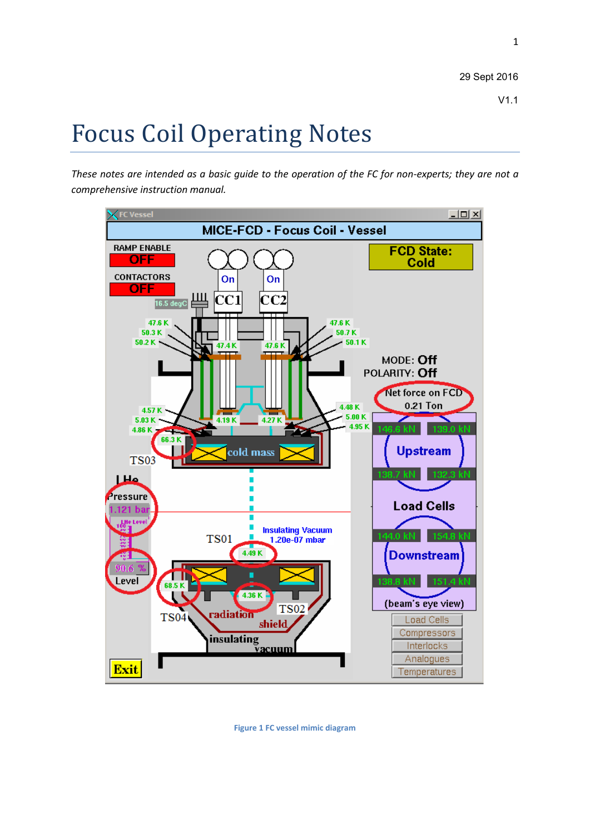1

# Focus Coil Operating Notes

*These notes are intended as a basic guide to the operation of the FC for non-experts; they are not a comprehensive instruction manual.*



<span id="page-0-0"></span>**Figure 1 FC vessel mimic diagram**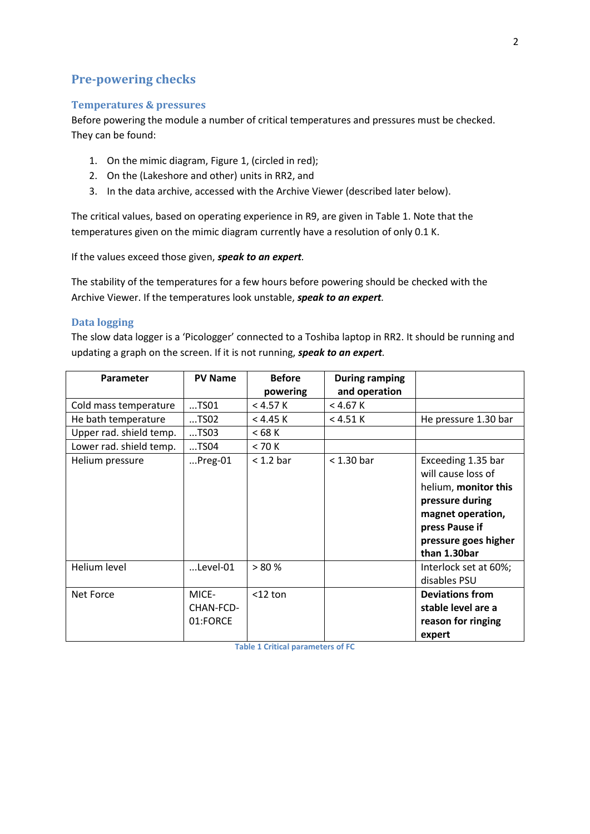# **Pre-powering checks**

### **Temperatures & pressures**

Before powering the module a number of critical temperatures and pressures must be checked. They can be found:

- 1. On the mimic diagram[, Figure 1,](#page-0-0) (circled in red);
- 2. On the (Lakeshore and other) units in RR2, and
- 3. In the data archive, accessed with the Archive Viewer (described later below).

The critical values, based on operating experience in R9, are given in [Table 1.](#page-1-0) Note that the temperatures given on the mimic diagram currently have a resolution of only 0.1 K.

If the values exceed those given, *speak to an expert.*

The stability of the temperatures for a few hours before powering should be checked with the Archive Viewer. If the temperatures look unstable, *speak to an expert.*

## **Data logging**

The slow data logger is a 'Picologger' connected to a Toshiba laptop in RR2. It should be running and updating a graph on the screen. If it is not running, *speak to an expert.*

| Parameter               | <b>PV Name</b>                 | <b>Before</b>        | <b>During ramping</b><br>and operation |                                                                                                                                                                    |
|-------------------------|--------------------------------|----------------------|----------------------------------------|--------------------------------------------------------------------------------------------------------------------------------------------------------------------|
|                         | $$ TSO1                        | powering<br>< 4.57 K | $<$ 4.67 K                             |                                                                                                                                                                    |
| Cold mass temperature   |                                |                      |                                        |                                                                                                                                                                    |
| He bath temperature     | TSO2                           | < 4.45 K             | < 4.51 K                               | He pressure 1.30 bar                                                                                                                                               |
| Upper rad. shield temp. | $T$ SO3                        | < 68 K               |                                        |                                                                                                                                                                    |
| Lower rad. shield temp. | TSO4                           | < 70 K               |                                        |                                                                                                                                                                    |
| Helium pressure         | $$ Preg-01                     | $< 1.2$ bar          | $<$ 1.30 bar                           | Exceeding 1.35 bar<br>will cause loss of<br>helium, monitor this<br>pressure during<br>magnet operation,<br>press Pause if<br>pressure goes higher<br>than 1.30bar |
| Helium level            | $$ Level-01                    | > 80%                |                                        | Interlock set at 60%;<br>disables PSU                                                                                                                              |
| Net Force               | MICE-<br>CHAN-FCD-<br>01:FORCE | $<$ 12 ton           |                                        | <b>Deviations from</b><br>stable level are a<br>reason for ringing<br>expert                                                                                       |

<span id="page-1-0"></span>**Table 1 Critical parameters of FC**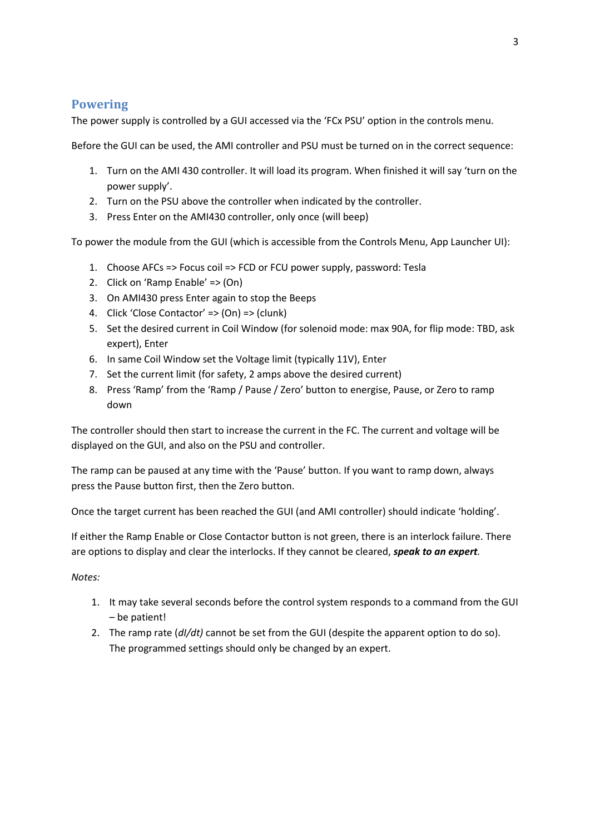# **Powering**

The power supply is controlled by a GUI accessed via the 'FCx PSU' option in the controls menu.

Before the GUI can be used, the AMI controller and PSU must be turned on in the correct sequence:

- 1. Turn on the AMI 430 controller. It will load its program. When finished it will say 'turn on the power supply'.
- 2. Turn on the PSU above the controller when indicated by the controller.
- 3. Press Enter on the AMI430 controller, only once (will beep)

To power the module from the GUI (which is accessible from the Controls Menu, App Launcher UI):

- 1. Choose AFCs => Focus coil => FCD or FCU power supply, password: Tesla
- 2. Click on 'Ramp Enable' => (On)
- 3. On AMI430 press Enter again to stop the Beeps
- 4. Click 'Close Contactor' => (On) => (clunk)
- 5. Set the desired current in Coil Window (for solenoid mode: max 90A, for flip mode: TBD, ask expert), Enter
- 6. In same Coil Window set the Voltage limit (typically 11V), Enter
- 7. Set the current limit (for safety, 2 amps above the desired current)
- 8. Press 'Ramp' from the 'Ramp / Pause / Zero' button to energise, Pause, or Zero to ramp down

The controller should then start to increase the current in the FC. The current and voltage will be displayed on the GUI, and also on the PSU and controller.

The ramp can be paused at any time with the 'Pause' button. If you want to ramp down, always press the Pause button first, then the Zero button.

Once the target current has been reached the GUI (and AMI controller) should indicate 'holding'.

If either the Ramp Enable or Close Contactor button is not green, there is an interlock failure. There are options to display and clear the interlocks. If they cannot be cleared, *speak to an expert.*

## *Notes:*

- 1. It may take several seconds before the control system responds to a command from the GUI – be patient!
- 2. The ramp rate (*dI/dt)* cannot be set from the GUI (despite the apparent option to do so). The programmed settings should only be changed by an expert.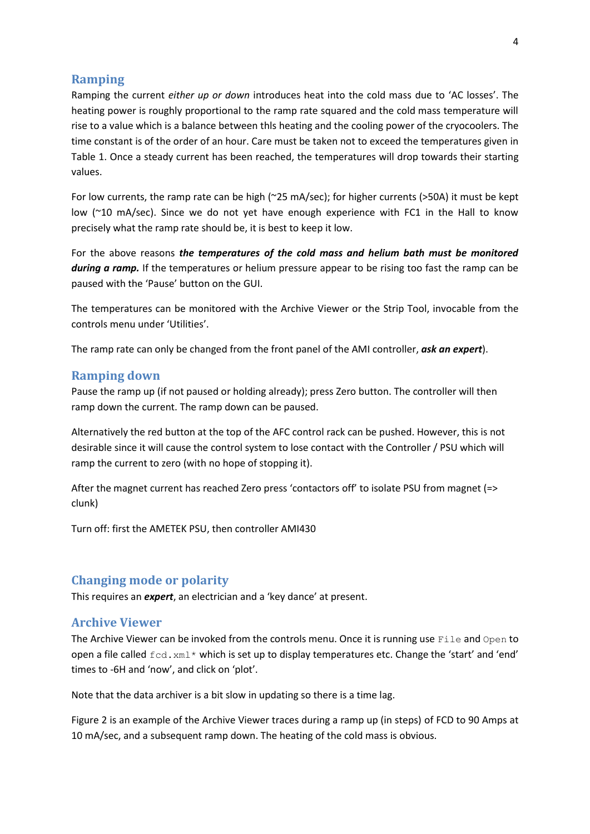## **Ramping**

Ramping the current *either up or down* introduces heat into the cold mass due to 'AC losses'. The heating power is roughly proportional to the ramp rate squared and the cold mass temperature will rise to a value which is a balance between thls heating and the cooling power of the cryocoolers. The time constant is of the order of an hour. Care must be taken not to exceed the temperatures given in [Table 1.](#page-1-0) Once a steady current has been reached, the temperatures will drop towards their starting values.

For low currents, the ramp rate can be high (~25 mA/sec); for higher currents (>50A) it must be kept low (~10 mA/sec). Since we do not yet have enough experience with FC1 in the Hall to know precisely what the ramp rate should be, it is best to keep it low.

For the above reasons *the temperatures of the cold mass and helium bath must be monitored during a ramp.* If the temperatures or helium pressure appear to be rising too fast the ramp can be paused with the 'Pause' button on the GUI.

The temperatures can be monitored with the Archive Viewer or the Strip Tool, invocable from the controls menu under 'Utilities'.

The ramp rate can only be changed from the front panel of the AMI controller, *ask an expert*).

#### **Ramping down**

Pause the ramp up (if not paused or holding already); press Zero button. The controller will then ramp down the current. The ramp down can be paused.

Alternatively the red button at the top of the AFC control rack can be pushed. However, this is not desirable since it will cause the control system to lose contact with the Controller / PSU which will ramp the current to zero (with no hope of stopping it).

After the magnet current has reached Zero press 'contactors off' to isolate PSU from magnet (=> clunk)

Turn off: first the AMETEK PSU, then controller AMI430

### **Changing mode or polarity**

This requires an *expert*, an electrician and a 'key dance' at present.

#### **Archive Viewer**

The Archive Viewer can be invoked from the controls menu. Once it is running use File and Open to open a file called  $fcd.xml*$  which is set up to display temperatures etc. Change the 'start' and 'end' times to -6H and 'now', and click on 'plot'.

Note that the data archiver is a bit slow in updating so there is a time lag.

[Figure 2](#page-4-0) is an example of the Archive Viewer traces during a ramp up (in steps) of FCD to 90 Amps at 10 mA/sec, and a subsequent ramp down. The heating of the cold mass is obvious.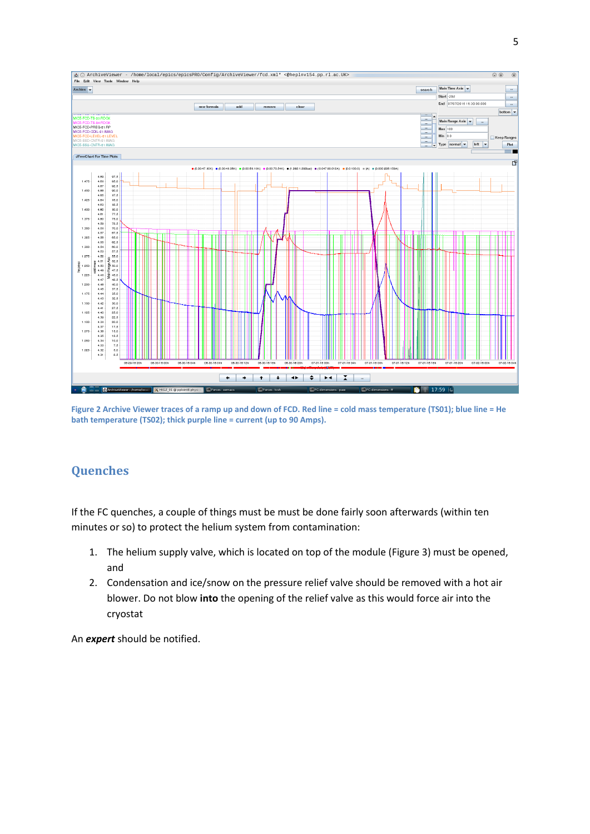

<span id="page-4-0"></span>**Figure 2 Archive Viewer traces of a ramp up and down of FCD. Red line = cold mass temperature (TS01); blue line = He bath temperature (TS02); thick purple line = current (up to 90 Amps).**

# **Quenches**

If the FC quenches, a couple of things must be must be done fairly soon afterwards (within ten minutes or so) to protect the helium system from contamination:

- 1. The helium supply valve, which is located on top of the module [\(Figure 3\)](#page-5-0) must be opened, and
- 2. Condensation and ice/snow on the pressure relief valve should be removed with a hot air blower. Do not blow **into** the opening of the relief valve as this would force air into the cryostat

An *expert* should be notified.